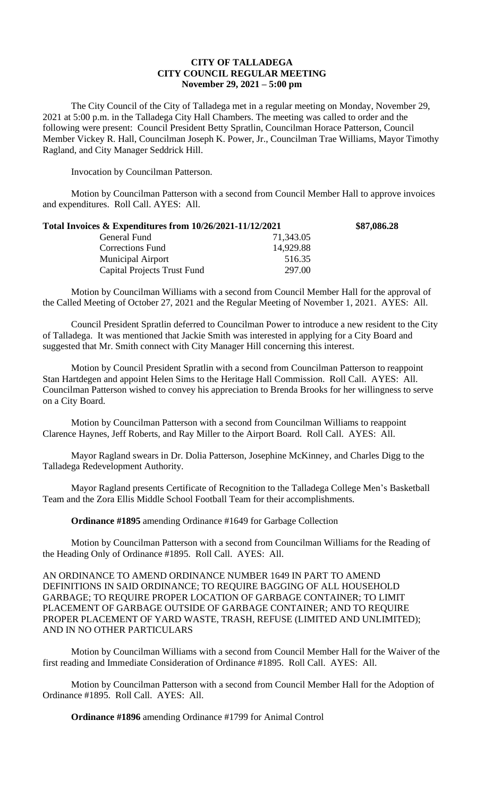# **CITY OF TALLADEGA CITY COUNCIL REGULAR MEETING November 29, 2021 – 5:00 pm**

The City Council of the City of Talladega met in a regular meeting on Monday, November 29, 2021 at 5:00 p.m. in the Talladega City Hall Chambers. The meeting was called to order and the following were present: Council President Betty Spratlin, Councilman Horace Patterson, Council Member Vickey R. Hall, Councilman Joseph K. Power, Jr., Councilman Trae Williams, Mayor Timothy Ragland, and City Manager Seddrick Hill.

Invocation by Councilman Patterson.

Motion by Councilman Patterson with a second from Council Member Hall to approve invoices and expenditures. Roll Call. AYES: All.

| Total Invoices & Expenditures from 10/26/2021-11/12/2021 |           | \$87,086.28 |
|----------------------------------------------------------|-----------|-------------|
| General Fund                                             | 71,343.05 |             |
| <b>Corrections Fund</b>                                  | 14,929.88 |             |
| <b>Municipal Airport</b>                                 | 516.35    |             |
| Capital Projects Trust Fund                              | 297.00    |             |

Motion by Councilman Williams with a second from Council Member Hall for the approval of the Called Meeting of October 27, 2021 and the Regular Meeting of November 1, 2021. AYES: All.

Council President Spratlin deferred to Councilman Power to introduce a new resident to the City of Talladega. It was mentioned that Jackie Smith was interested in applying for a City Board and suggested that Mr. Smith connect with City Manager Hill concerning this interest.

Motion by Council President Spratlin with a second from Councilman Patterson to reappoint Stan Hartdegen and appoint Helen Sims to the Heritage Hall Commission. Roll Call. AYES: All. Councilman Patterson wished to convey his appreciation to Brenda Brooks for her willingness to serve on a City Board.

Motion by Councilman Patterson with a second from Councilman Williams to reappoint Clarence Haynes, Jeff Roberts, and Ray Miller to the Airport Board. Roll Call. AYES: All.

Mayor Ragland swears in Dr. Dolia Patterson, Josephine McKinney, and Charles Digg to the Talladega Redevelopment Authority.

Mayor Ragland presents Certificate of Recognition to the Talladega College Men's Basketball Team and the Zora Ellis Middle School Football Team for their accomplishments.

**Ordinance #1895** amending Ordinance #1649 for Garbage Collection

Motion by Councilman Patterson with a second from Councilman Williams for the Reading of the Heading Only of Ordinance #1895. Roll Call. AYES: All.

AN ORDINANCE TO AMEND ORDINANCE NUMBER 1649 IN PART TO AMEND DEFINITIONS IN SAID ORDINANCE; TO REQUIRE BAGGING OF ALL HOUSEHOLD GARBAGE; TO REQUIRE PROPER LOCATION OF GARBAGE CONTAINER; TO LIMIT PLACEMENT OF GARBAGE OUTSIDE OF GARBAGE CONTAINER; AND TO REQUIRE PROPER PLACEMENT OF YARD WASTE, TRASH, REFUSE (LIMITED AND UNLIMITED); AND IN NO OTHER PARTICULARS

Motion by Councilman Williams with a second from Council Member Hall for the Waiver of the first reading and Immediate Consideration of Ordinance #1895. Roll Call. AYES: All.

Motion by Councilman Patterson with a second from Council Member Hall for the Adoption of Ordinance #1895. Roll Call. AYES: All.

**Ordinance #1896** amending Ordinance #1799 for Animal Control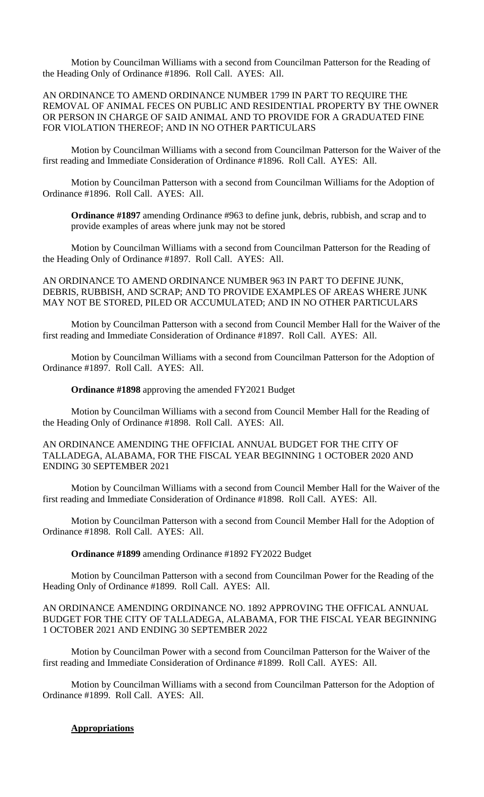Motion by Councilman Williams with a second from Councilman Patterson for the Reading of the Heading Only of Ordinance #1896. Roll Call. AYES: All.

## AN ORDINANCE TO AMEND ORDINANCE NUMBER 1799 IN PART TO REQUIRE THE REMOVAL OF ANIMAL FECES ON PUBLIC AND RESIDENTIAL PROPERTY BY THE OWNER OR PERSON IN CHARGE OF SAID ANIMAL AND TO PROVIDE FOR A GRADUATED FINE FOR VIOLATION THEREOF; AND IN NO OTHER PARTICULARS

Motion by Councilman Williams with a second from Councilman Patterson for the Waiver of the first reading and Immediate Consideration of Ordinance #1896. Roll Call. AYES: All.

Motion by Councilman Patterson with a second from Councilman Williams for the Adoption of Ordinance #1896. Roll Call. AYES: All.

**Ordinance #1897** amending Ordinance #963 to define junk, debris, rubbish, and scrap and to provide examples of areas where junk may not be stored

Motion by Councilman Williams with a second from Councilman Patterson for the Reading of the Heading Only of Ordinance #1897. Roll Call. AYES: All.

AN ORDINANCE TO AMEND ORDINANCE NUMBER 963 IN PART TO DEFINE JUNK, DEBRIS, RUBBISH, AND SCRAP; AND TO PROVIDE EXAMPLES OF AREAS WHERE JUNK MAY NOT BE STORED, PILED OR ACCUMULATED; AND IN NO OTHER PARTICULARS

Motion by Councilman Patterson with a second from Council Member Hall for the Waiver of the first reading and Immediate Consideration of Ordinance #1897. Roll Call. AYES: All.

Motion by Councilman Williams with a second from Councilman Patterson for the Adoption of Ordinance #1897. Roll Call. AYES: All.

**Ordinance #1898** approving the amended FY2021 Budget

Motion by Councilman Williams with a second from Council Member Hall for the Reading of the Heading Only of Ordinance #1898. Roll Call. AYES: All.

#### AN ORDINANCE AMENDING THE OFFICIAL ANNUAL BUDGET FOR THE CITY OF TALLADEGA, ALABAMA, FOR THE FISCAL YEAR BEGINNING 1 OCTOBER 2020 AND ENDING 30 SEPTEMBER 2021

Motion by Councilman Williams with a second from Council Member Hall for the Waiver of the first reading and Immediate Consideration of Ordinance #1898. Roll Call. AYES: All.

Motion by Councilman Patterson with a second from Council Member Hall for the Adoption of Ordinance #1898. Roll Call. AYES: All.

**Ordinance #1899** amending Ordinance #1892 FY2022 Budget

Motion by Councilman Patterson with a second from Councilman Power for the Reading of the Heading Only of Ordinance #1899. Roll Call. AYES: All.

## AN ORDINANCE AMENDING ORDINANCE NO. 1892 APPROVING THE OFFICAL ANNUAL BUDGET FOR THE CITY OF TALLADEGA, ALABAMA, FOR THE FISCAL YEAR BEGINNING 1 OCTOBER 2021 AND ENDING 30 SEPTEMBER 2022

Motion by Councilman Power with a second from Councilman Patterson for the Waiver of the first reading and Immediate Consideration of Ordinance #1899. Roll Call. AYES: All.

Motion by Councilman Williams with a second from Councilman Patterson for the Adoption of Ordinance #1899. Roll Call. AYES: All.

## **Appropriations**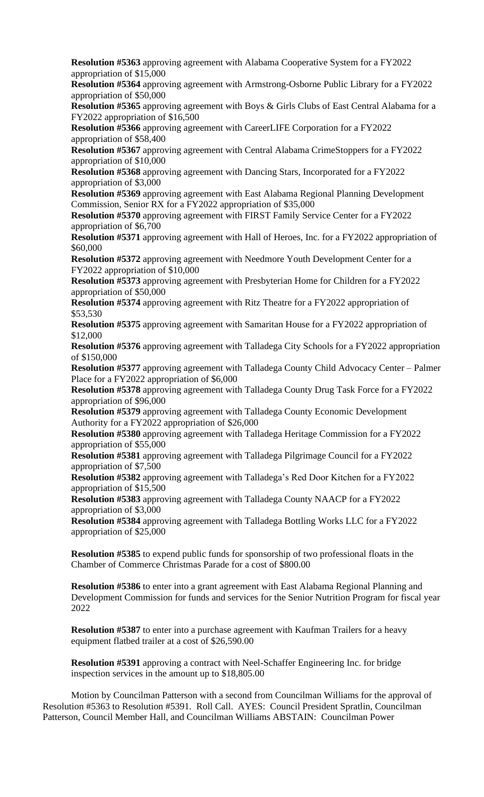**Resolution #5363** approving agreement with Alabama Cooperative System for a FY2022 appropriation of \$15,000

**Resolution #5364** approving agreement with Armstrong-Osborne Public Library for a FY2022 appropriation of \$50,000

**Resolution #5365** approving agreement with Boys & Girls Clubs of East Central Alabama for a FY2022 appropriation of \$16,500

**Resolution #5366** approving agreement with CareerLIFE Corporation for a FY2022 appropriation of \$58,400

**Resolution #5367** approving agreement with Central Alabama CrimeStoppers for a FY2022 appropriation of \$10,000

**Resolution #5368** approving agreement with Dancing Stars, Incorporated for a FY2022 appropriation of \$3,000

**Resolution #5369** approving agreement with East Alabama Regional Planning Development Commission, Senior RX for a FY2022 appropriation of \$35,000

**Resolution #5370** approving agreement with FIRST Family Service Center for a FY2022 appropriation of \$6,700

**Resolution #5371** approving agreement with Hall of Heroes, Inc. for a FY2022 appropriation of \$60,000

**Resolution #5372** approving agreement with Needmore Youth Development Center for a FY2022 appropriation of \$10,000

**Resolution #5373** approving agreement with Presbyterian Home for Children for a FY2022 appropriation of \$50,000

**Resolution #5374** approving agreement with Ritz Theatre for a FY2022 appropriation of \$53,530

**Resolution #5375** approving agreement with Samaritan House for a FY2022 appropriation of \$12,000

**Resolution #5376** approving agreement with Talladega City Schools for a FY2022 appropriation of \$150,000

**Resolution #5377** approving agreement with Talladega County Child Advocacy Center – Palmer Place for a FY2022 appropriation of \$6,000

**Resolution #5378** approving agreement with Talladega County Drug Task Force for a FY2022 appropriation of \$96,000

**Resolution #5379** approving agreement with Talladega County Economic Development Authority for a FY2022 appropriation of \$26,000

**Resolution #5380** approving agreement with Talladega Heritage Commission for a FY2022 appropriation of \$55,000

**Resolution #5381** approving agreement with Talladega Pilgrimage Council for a FY2022 appropriation of \$7,500

**Resolution #5382** approving agreement with Talladega's Red Door Kitchen for a FY2022 appropriation of \$15,500

**Resolution #5383** approving agreement with Talladega County NAACP for a FY2022 appropriation of \$3,000

**Resolution #5384** approving agreement with Talladega Bottling Works LLC for a FY2022 appropriation of \$25,000

**Resolution #5385** to expend public funds for sponsorship of two professional floats in the Chamber of Commerce Christmas Parade for a cost of \$800.00

**Resolution #5386** to enter into a grant agreement with East Alabama Regional Planning and Development Commission for funds and services for the Senior Nutrition Program for fiscal year 2022

**Resolution #5387** to enter into a purchase agreement with Kaufman Trailers for a heavy equipment flatbed trailer at a cost of \$26,590.00

**Resolution #5391** approving a contract with Neel-Schaffer Engineering Inc. for bridge inspection services in the amount up to \$18,805.00

Motion by Councilman Patterson with a second from Councilman Williams for the approval of Resolution #5363 to Resolution #5391. Roll Call. AYES: Council President Spratlin, Councilman Patterson, Council Member Hall, and Councilman Williams ABSTAIN: Councilman Power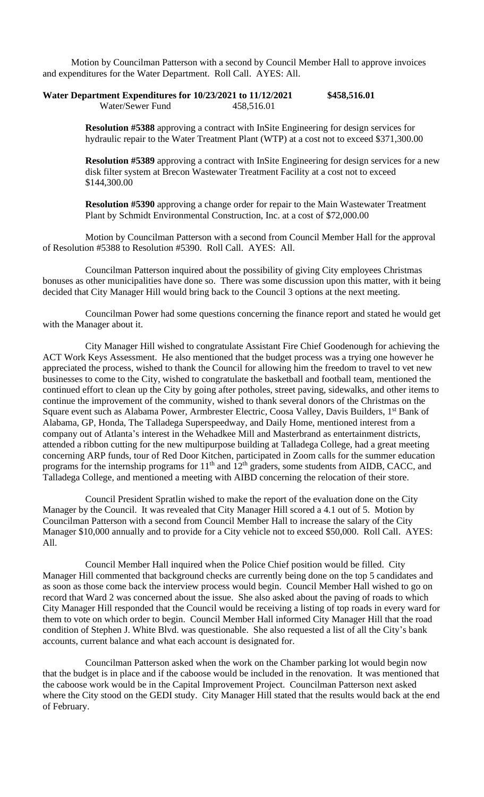Motion by Councilman Patterson with a second by Council Member Hall to approve invoices and expenditures for the Water Department. Roll Call. AYES: All.

| Water Department Expenditures for 10/23/2021 to 11/12/2021 |            | \$458,516.01 |
|------------------------------------------------------------|------------|--------------|
| Water/Sewer Fund                                           | 458,516.01 |              |

**Resolution #5388** approving a contract with InSite Engineering for design services for hydraulic repair to the Water Treatment Plant (WTP) at a cost not to exceed \$371,300.00

**Resolution #5389** approving a contract with InSite Engineering for design services for a new disk filter system at Brecon Wastewater Treatment Facility at a cost not to exceed \$144,300.00

**Resolution #5390** approving a change order for repair to the Main Wastewater Treatment Plant by Schmidt Environmental Construction, Inc. at a cost of \$72,000.00

Motion by Councilman Patterson with a second from Council Member Hall for the approval of Resolution #5388 to Resolution #5390. Roll Call. AYES: All.

Councilman Patterson inquired about the possibility of giving City employees Christmas bonuses as other municipalities have done so. There was some discussion upon this matter, with it being decided that City Manager Hill would bring back to the Council 3 options at the next meeting.

Councilman Power had some questions concerning the finance report and stated he would get with the Manager about it.

City Manager Hill wished to congratulate Assistant Fire Chief Goodenough for achieving the ACT Work Keys Assessment. He also mentioned that the budget process was a trying one however he appreciated the process, wished to thank the Council for allowing him the freedom to travel to vet new businesses to come to the City, wished to congratulate the basketball and football team, mentioned the continued effort to clean up the City by going after potholes, street paving, sidewalks, and other items to continue the improvement of the community, wished to thank several donors of the Christmas on the Square event such as Alabama Power, Armbrester Electric, Coosa Valley, Davis Builders, 1<sup>st</sup> Bank of Alabama, GP, Honda, The Talladega Superspeedway, and Daily Home, mentioned interest from a company out of Atlanta's interest in the Wehadkee Mill and Masterbrand as entertainment districts, attended a ribbon cutting for the new multipurpose building at Talladega College, had a great meeting concerning ARP funds, tour of Red Door Kitchen, participated in Zoom calls for the summer education programs for the internship programs for  $11<sup>th</sup>$  and  $12<sup>th</sup>$  graders, some students from AIDB, CACC, and Talladega College, and mentioned a meeting with AIBD concerning the relocation of their store.

Council President Spratlin wished to make the report of the evaluation done on the City Manager by the Council. It was revealed that City Manager Hill scored a 4.1 out of 5. Motion by Councilman Patterson with a second from Council Member Hall to increase the salary of the City Manager \$10,000 annually and to provide for a City vehicle not to exceed \$50,000. Roll Call. AYES: All.

Council Member Hall inquired when the Police Chief position would be filled. City Manager Hill commented that background checks are currently being done on the top 5 candidates and as soon as those come back the interview process would begin. Council Member Hall wished to go on record that Ward 2 was concerned about the issue. She also asked about the paving of roads to which City Manager Hill responded that the Council would be receiving a listing of top roads in every ward for them to vote on which order to begin. Council Member Hall informed City Manager Hill that the road condition of Stephen J. White Blvd. was questionable. She also requested a list of all the City's bank accounts, current balance and what each account is designated for.

Councilman Patterson asked when the work on the Chamber parking lot would begin now that the budget is in place and if the caboose would be included in the renovation. It was mentioned that the caboose work would be in the Capital Improvement Project. Councilman Patterson next asked where the City stood on the GEDI study. City Manager Hill stated that the results would back at the end of February.